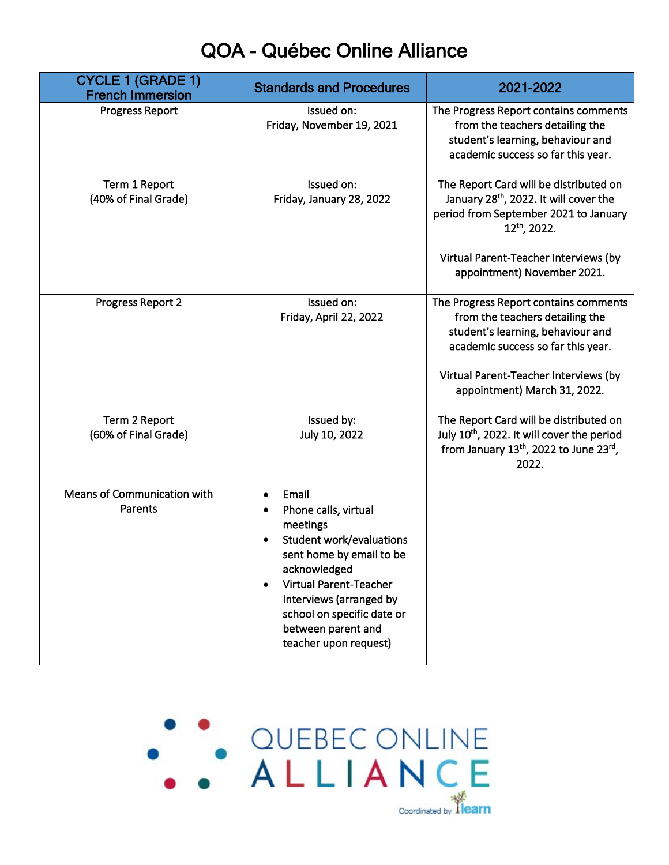## QOA - Québec Online Alliance

| <b>CYCLE 1 (GRADE 1)</b><br><b>French Immersion</b> | <b>Standards and Procedures</b>                                                                                                                                                                                                                                                                          | 2021-2022                                                                                                                                                                                           |
|-----------------------------------------------------|----------------------------------------------------------------------------------------------------------------------------------------------------------------------------------------------------------------------------------------------------------------------------------------------------------|-----------------------------------------------------------------------------------------------------------------------------------------------------------------------------------------------------|
| <b>Progress Report</b>                              | Issued on:<br>Friday, November 19, 2021                                                                                                                                                                                                                                                                  | The Progress Report contains comments<br>from the teachers detailing the<br>student's learning, behaviour and<br>academic success so far this year.                                                 |
| Term 1 Report<br>(40% of Final Grade)               | Issued on:<br>Friday, January 28, 2022                                                                                                                                                                                                                                                                   | The Report Card will be distributed on<br>January 28 <sup>th</sup> , 2022. It will cover the<br>period from September 2021 to January<br>$12^{th}$ , 2022.<br>Virtual Parent-Teacher Interviews (by |
| Progress Report 2                                   | Issued on:<br>Friday, April 22, 2022                                                                                                                                                                                                                                                                     | appointment) November 2021.<br>The Progress Report contains comments<br>from the teachers detailing the<br>student's learning, behaviour and<br>academic success so far this year.                  |
|                                                     |                                                                                                                                                                                                                                                                                                          | Virtual Parent-Teacher Interviews (by<br>appointment) March 31, 2022.                                                                                                                               |
| Term 2 Report<br>(60% of Final Grade)               | Issued by:<br>July 10, 2022                                                                                                                                                                                                                                                                              | The Report Card will be distributed on<br>July 10 <sup>th</sup> , 2022. It will cover the period<br>from January 13th, 2022 to June 23rd,<br>2022.                                                  |
| Means of Communication with<br>Parents              | Email<br>$\bullet$<br>Phone calls, virtual<br>meetings<br><b>Student work/evaluations</b><br>$\bullet$<br>sent home by email to be<br>acknowledged<br><b>Virtual Parent-Teacher</b><br>$\bullet$<br>Interviews (arranged by<br>school on specific date or<br>between parent and<br>teacher upon request) |                                                                                                                                                                                                     |